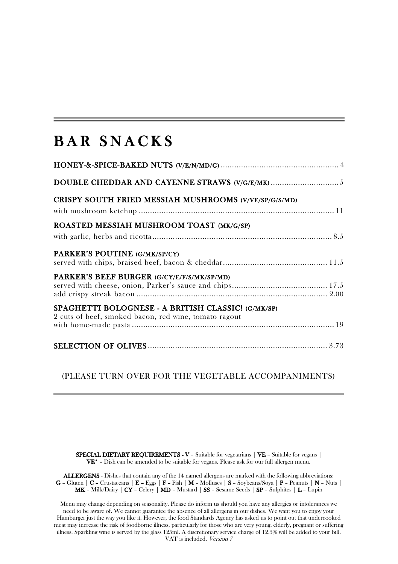## BAR SNACKS

| CRISPY SOUTH FRIED MESSIAH MUSHROOMS (V/VE/SP/G/S/MD)                                                       |
|-------------------------------------------------------------------------------------------------------------|
| ROASTED MESSIAH MUSHROOM TOAST (MK/G/SP)                                                                    |
|                                                                                                             |
| PARKER'S POUTINE (G/MK/SP/CY)                                                                               |
| PARKER'S BEEF BURGER (G/CY/E/F/S/MK/SP/MD)                                                                  |
| SPAGHETTI BOLOGNESE - A BRITISH CLASSIC! (G/MK/SP)<br>2 cuts of beef, smoked bacon, red wine, tomato ragout |
|                                                                                                             |

(PLEASE TURN OVER FOR THE VEGETABLE ACCOMPANIMENTS)

SPECIAL DIETARY REQUIREMENTS - V - Suitable for vegetarians | VE - Suitable for vegans | VE\* – Dish can be amended to be suitable for vegans. Please ask for our full allergen menu.

ALLERGENS - Dishes that contain any of the 14 named allergens are marked with the following abbreviations:  $G$  – Gluten |  $C$  – Crustaceans |  $E$  – Eggs |  $F$  – Fish |  $M$  – Molluscs |  $S$  – Soybeans/Soya |  $P$  – Peanuts |  $N$  – Nuts | MK – Milk/Dairy | CY – Celery | MD – Mustard | SS – Sesame Seeds | SP – Sulphites | L – Lupin

Menu may change depending on seasonality. Please do inform us should you have any allergies or intolerances we need to be aware of. We cannot guarantee the absence of all allergens in our dishes. We want you to enjoy your Hamburger just the way you like it. However, the food Standards Agency has asked us to point out that undercooked meat may increase the risk of foodborne illness, particularly for those who are very young, elderly, pregnant or suffering illness. Sparkling wine is served by the glass 125ml. A discretionary service charge of 12.5% will be added to your bill. VAT is included. Version 7